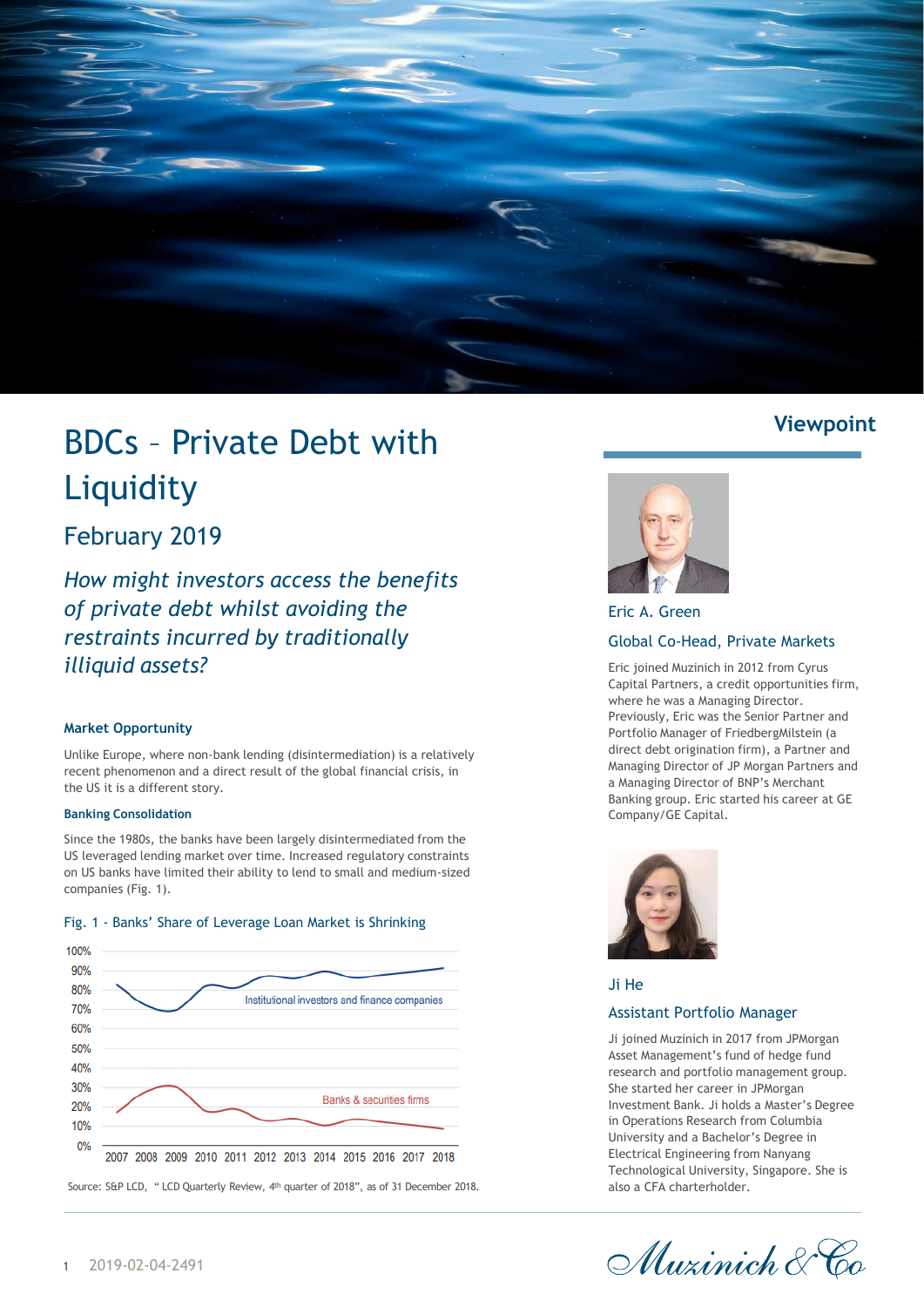

# BDCs – Private Debt with **Liquidity**

# February 2019

*How might investors access the benefits of private debt whilst avoiding the restraints incurred by traditionally illiquid assets?*

# **Market Opportunity**

Unlike Europe, where non-bank lending (disintermediation) is a relatively recent phenomenon and a direct result of the global financial crisis, in the US it is a different story.

# **Banking Consolidation**

Since the 1980s, the banks have been largely disintermediated from the US leveraged lending market over time. Increased regulatory constraints on US banks have limited their ability to lend to small and medium-sized companies (Fig. 1).



### Fig. 1 - Banks' Share of Leverage Loan Market is Shrinking

Source: S&P LCD, " LCD Quarterly Review, 4<sup>th</sup> quarter of 2018", as of 31 December 2018.

# **Viewpoint**



Eric A. Green Global Co-Head, Private Markets

Eric joined Muzinich in 2012 from Cyrus Capital Partners, a credit opportunities firm, where he was a Managing Director. Previously, Eric was the Senior Partner and Portfolio Manager of FriedbergMilstein (a direct debt origination firm), a Partner and Managing Director of JP Morgan Partners and a Managing Director of BNP's Merchant Banking group. Eric started his career at GE Company/GE Capital.



Ji He

# Assistant Portfolio Manager

Ji joined Muzinich in 2017 from JPMorgan Asset Management's fund of hedge fund research and portfolio management group. She started her career in JPMorgan Investment Bank. Ji holds a Master's Degree in Operations Research from Columbia University and a Bachelor's Degree in Electrical Engineering from Nanyang Technological University, Singapore. She is also a CFA charterholder.

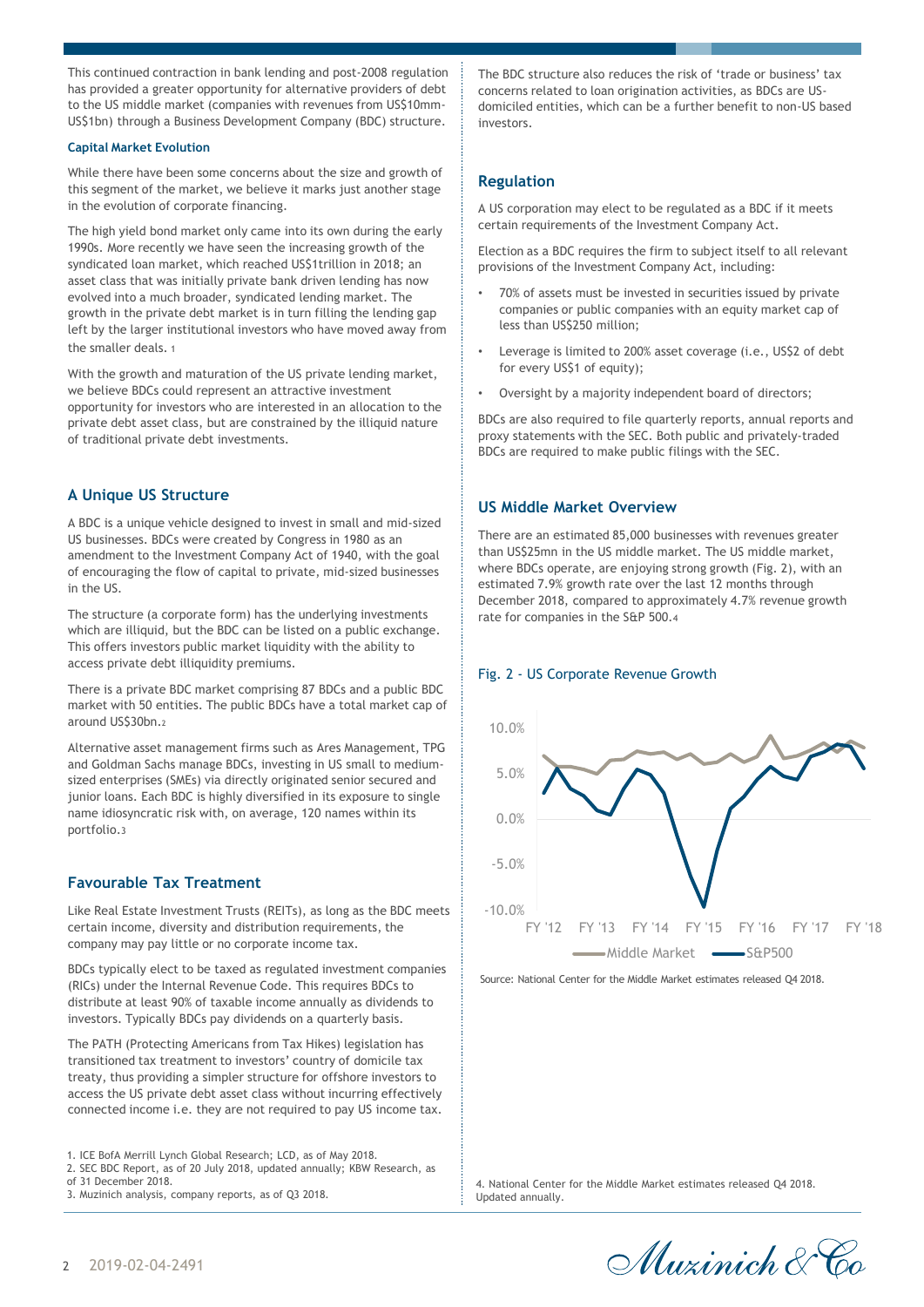This continued contraction in bank lending and post-2008 regulation has provided a greater opportunity for alternative providers of debt to the US middle market (companies with revenues from US\$10mm-US\$1bn) through a Business Development Company (BDC) structure.

#### **Capital Market Evolution**

While there have been some concerns about the size and growth of this segment of the market, we believe it marks just another stage in the evolution of corporate financing.

The high yield bond market only came into its own during the early 1990s. More recently we have seen the increasing growth of the syndicated loan market, which reached US\$1trillion in 2018; an asset class that was initially private bank driven lending has now evolved into a much broader, syndicated lending market. The growth in the private debt market is in turn filling the lending gap left by the larger institutional investors who have moved away from the smaller deals. 1

With the growth and maturation of the US private lending market, we believe BDCs could represent an attractive investment opportunity for investors who are interested in an allocation to the private debt asset class, but are constrained by the illiquid nature of traditional private debt investments.

# **A Unique US Structure**

A BDC is a unique vehicle designed to invest in small and mid-sized US businesses. BDCs were created by Congress in 1980 as an amendment to the Investment Company Act of 1940, with the goal of encouraging the flow of capital to private, mid-sized businesses in the US.

The structure (a corporate form) has the underlying investments which are illiquid, but the BDC can be listed on a public exchange. This offers investors public market liquidity with the ability to access private debt illiquidity premiums.

There is a private BDC market comprising 87 BDCs and a public BDC market with 50 entities. The public BDCs have a total market cap of around US\$30bn.<sup>2</sup>

Alternative asset management firms such as Ares Management, TPG and Goldman Sachs manage BDCs, investing in US small to mediumsized enterprises (SMEs) via directly originated senior secured and junior loans. Each BDC is highly diversified in its exposure to single name idiosyncratic risk with, on average, 120 names within its portfolio.3

# **Favourable Tax Treatment**

Like Real Estate Investment Trusts (REITs), as long as the BDC meets certain income, diversity and distribution requirements, the company may pay little or no corporate income tax.

BDCs typically elect to be taxed as regulated investment companies (RICs) under the Internal Revenue Code. This requires BDCs to distribute at least 90% of taxable income annually as dividends to investors. Typically BDCs pay dividends on a quarterly basis.

The PATH (Protecting Americans from Tax Hikes) legislation has transitioned tax treatment to investors' country of domicile tax treaty, thus providing a simpler structure for offshore investors to access the US private debt asset class without incurring effectively connected income i.e. they are not required to pay US income tax.

1. ICE BofA Merrill Lynch Global Research; LCD, as of May 2018.

2. SEC BDC Report, as of 20 July 2018, updated annually; KBW Research, as

- of 31 December 2018.
- 3. Muzinich analysis, company reports, as of Q3 2018.

The BDC structure also reduces the risk of 'trade or business' tax concerns related to loan origination activities, as BDCs are USdomiciled entities, which can be a further benefit to non-US based investors.

# **Regulation**

A US corporation may elect to be regulated as a BDC if it meets certain requirements of the Investment Company Act.

Election as a BDC requires the firm to subject itself to all relevant provisions of the Investment Company Act, including:

- 70% of assets must be invested in securities issued by private companies or public companies with an equity market cap of less than US\$250 million;
- Leverage is limited to 200% asset coverage (i.e., US\$2 of debt for every US\$1 of equity);
- Oversight by a majority independent board of directors;

BDCs are also required to file quarterly reports, annual reports and proxy statements with the SEC. Both public and privately-traded BDCs are required to make public filings with the SEC.

# **US Middle Market Overview**

There are an estimated 85,000 businesses with revenues greater than US\$25mn in the US middle market. The US middle market, where BDCs operate, are enjoying strong growth (Fig. 2), with an estimated 7.9% growth rate over the last 12 months through December 2018, compared to approximately 4.7% revenue growth rate for companies in the S&P 500.4

#### Fig. 2 - US Corporate Revenue Growth



Source: National Center for the Middle Market estimates released Q4 2018.

4. National Center for the Middle Market estimates released Q4 2018. Updated annually.

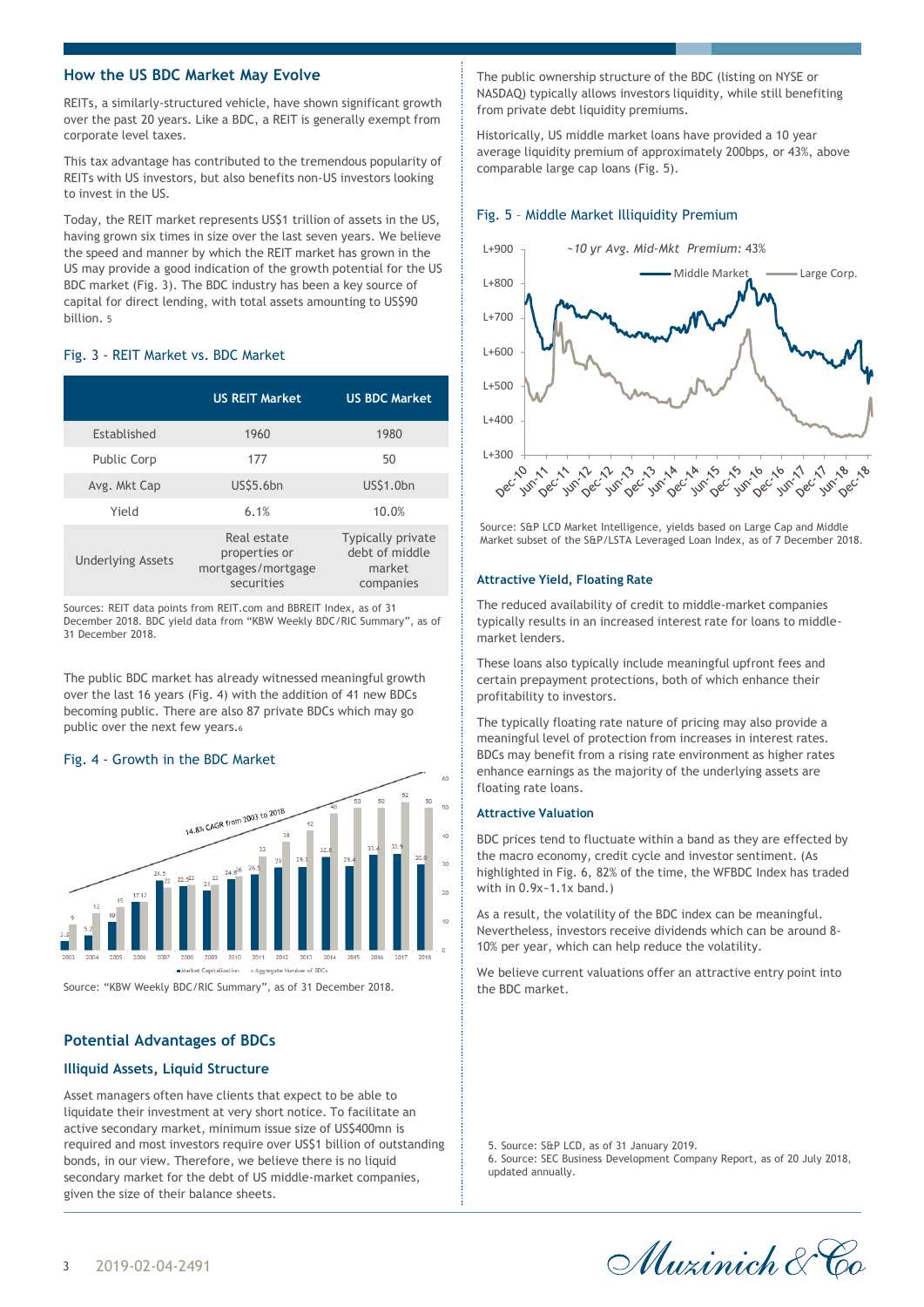# **How the US BDC Market May Evolve**

REITs, a similarly-structured vehicle, have shown significant growth over the past 20 years. Like a BDC, a REIT is generally exempt from corporate level taxes.

This tax advantage has contributed to the tremendous popularity of REITs with US investors, but also benefits non-US investors looking to invest in the US.

Today, the REIT market represents US\$1 trillion of assets in the US, having grown six times in size over the last seven years. We believe the speed and manner by which the REIT market has grown in the US may provide a good indication of the growth potential for the US BDC market (Fig. 3). The BDC industry has been a key source of capital for direct lending, with total assets amounting to US\$90 billion. 5

#### Fig. 3 - REIT Market vs. BDC Market

|                          | <b>US REIT Market</b>                                            | <b>US BDC Market</b>                                              |  |  |
|--------------------------|------------------------------------------------------------------|-------------------------------------------------------------------|--|--|
| Established              | 1960                                                             | 1980                                                              |  |  |
| <b>Public Corp</b>       | 177                                                              | 50                                                                |  |  |
| Avg. Mkt Cap             | <b>US\$5.6bn</b>                                                 | US\$1.0bn                                                         |  |  |
| Yield                    | 6.1%                                                             | 10.0%                                                             |  |  |
| <b>Underlying Assets</b> | Real estate<br>properties or<br>mortgages/mortgage<br>securities | <b>Typically private</b><br>debt of middle<br>market<br>companies |  |  |

Sources: REIT data points from REIT.com and BBREIT Index, as of 31 December 2018. BDC yield data from "KBW Weekly BDC/RIC Summary", as of 31 December 2018.

The public BDC market has already witnessed meaningful growth over the last 16 years (Fig. 4) with the addition of 41 new BDCs becoming public. There are also 87 private BDCs which may go public over the next few years.<sup>6</sup>

#### Fig. 4 - Growth in the BDC Market



Source: "KBW Weekly BDC/RIC Summary", as of 31 December 2018.

#### **Potential Advantages of BDCs**

#### **Illiquid Assets, Liquid Structure**

Asset managers often have clients that expect to be able to liquidate their investment at very short notice. To facilitate an active secondary market, minimum issue size of US\$400mn is required and most investors require over US\$1 billion of outstanding bonds, in our view. Therefore, we believe there is no liquid secondary market for the debt of US middle-market companies, given the size of their balance sheets.

The public ownership structure of the BDC (listing on NYSE or NASDAQ) typically allows investors liquidity, while still benefiting from private debt liquidity premiums.

Historically, US middle market loans have provided a 10 year average liquidity premium of approximately 200bps, or 43%, above comparable large cap loans (Fig. 5).

#### Fig. 5 – Middle Market Illiquidity Premium



Source: S&P LCD Market Intelligence, yields based on Large Cap and Middle Market subset of the S&P/LSTA Leveraged Loan Index, as of 7 December 2018.

#### **Attractive Yield, Floating Rate**

The reduced availability of credit to middle-market companies typically results in an increased interest rate for loans to middlemarket lenders.

These loans also typically include meaningful upfront fees and certain prepayment protections, both of which enhance their profitability to investors.

The typically floating rate nature of pricing may also provide a meaningful level of protection from increases in interest rates. BDCs may benefit from a rising rate environment as higher rates enhance earnings as the majority of the underlying assets are floating rate loans.

#### **Attractive Valuation**

BDC prices tend to fluctuate within a band as they are effected by the macro economy, credit cycle and investor sentiment. (As highlighted in Fig. 6, 82% of the time, the WFBDC Index has traded with in 0.9x~1.1x band.)

As a result, the volatility of the BDC index can be meaningful. Nevertheless, investors receive dividends which can be around 8- 10% per year, which can help reduce the volatility.

We believe current valuations offer an attractive entry point into the BDC market.

5. Source: S&P LCD, as of 31 January 2019.

6. Source: SEC Business Development Company Report, as of 20 July 2018, updated annually.

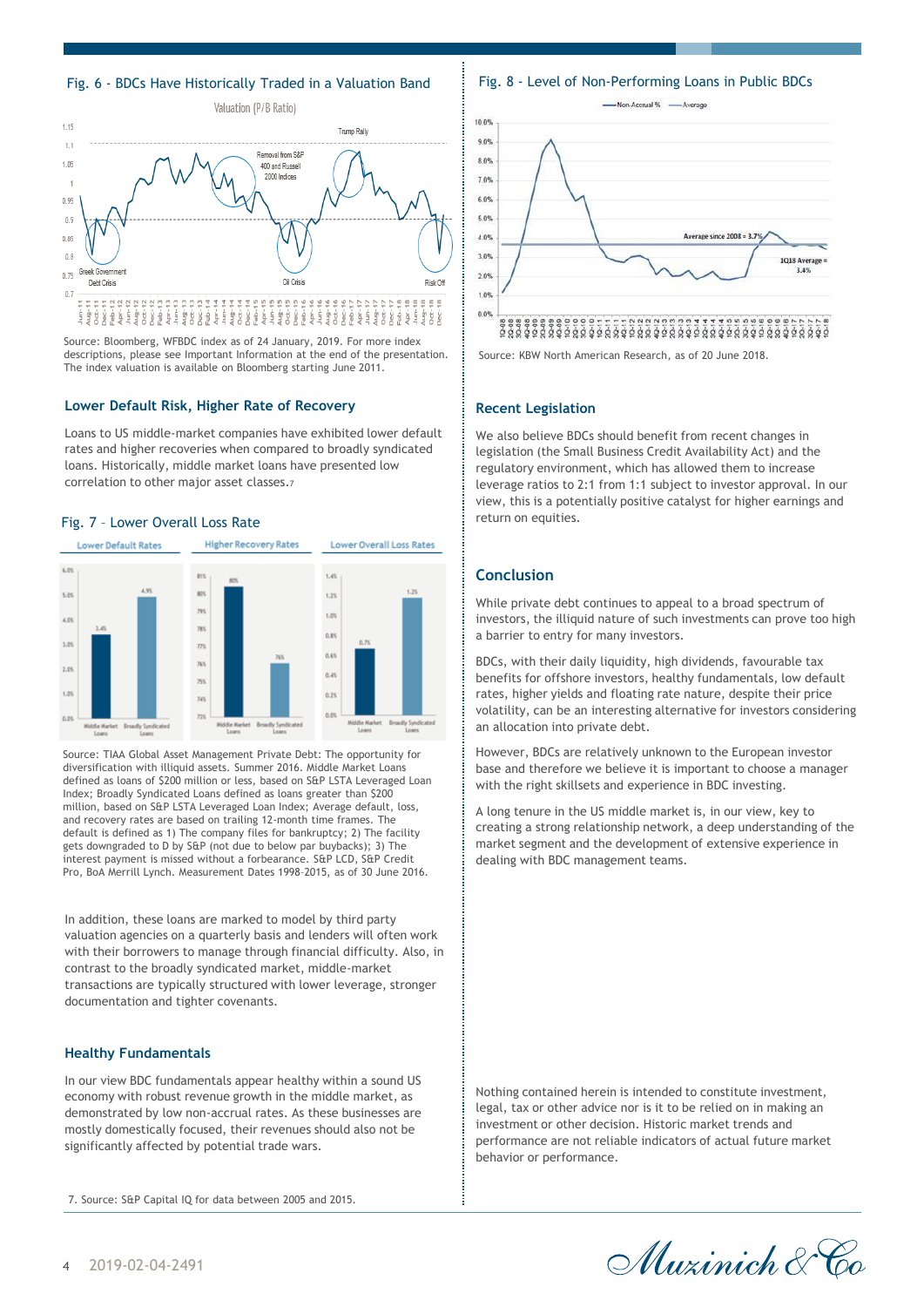## Fig. 6 - BDCs Have Historically Traded in a Valuation Band



Source: Bloomberg, WFBDC index as of 24 January, 2019. For more index descriptions, please see Important Information at the end of the presentation. The index valuation is available on Bloomberg starting June 2011.

#### **Lower Default Risk, Higher Rate of Recovery**

Loans to US middle-market companies have exhibited lower default rates and higher recoveries when compared to broadly syndicated loans. Historically, middle market loans have presented low correlation to other major asset classes.<sup>7</sup>

#### Fig. 7 – Lower Overall Loss Rate



Source: TIAA Global Asset Management Private Debt: The opportunity for diversification with illiquid assets. Summer 2016. Middle Market Loans defined as loans of \$200 million or less, based on S&P LSTA Leveraged Loan Index; Broadly Syndicated Loans defined as loans greater than \$200 million, based on S&P LSTA Leveraged Loan Index; Average default, loss, and recovery rates are based on trailing 12-month time frames. The default is defined as 1) The company files for bankruptcy; 2) The facility gets downgraded to D by S&P (not due to below par buybacks); 3) The interest payment is missed without a forbearance. S&P LCD, S&P Credit Pro, BoA Merrill Lynch. Measurement Dates 1998–2015, as of 30 June 2016.

In addition, these loans are marked to model by third party valuation agencies on a quarterly basis and lenders will often work with their borrowers to manage through financial difficulty. Also, in contrast to the broadly syndicated market, middle-market transactions are typically structured with lower leverage, stronger documentation and tighter covenants.

#### **Healthy Fundamentals**

In our view BDC fundamentals appear healthy within a sound US economy with robust revenue growth in the middle market, as demonstrated by low non-accrual rates. As these businesses are mostly domestically focused, their revenues should also not be significantly affected by potential trade wars.

7. Source: S&P Capital IQ for data between 2005 and 2015.

Fig. 8 - Level of Non-Performing Loans in Public BDCs



Source: KBW North American Research, as of 20 June 2018.

#### **Recent Legislation**

We also believe BDCs should benefit from recent changes in legislation (the Small Business Credit Availability Act) and the regulatory environment, which has allowed them to increase leverage ratios to 2:1 from 1:1 subject to investor approval. In our view, this is a potentially positive catalyst for higher earnings and return on equities.

# **Conclusion**

While private debt continues to appeal to a broad spectrum of investors, the illiquid nature of such investments can prove too high a barrier to entry for many investors.

BDCs, with their daily liquidity, high dividends, favourable tax benefits for offshore investors, healthy fundamentals, low default rates, higher yields and floating rate nature, despite their price volatility, can be an interesting alternative for investors considering an allocation into private debt.

However, BDCs are relatively unknown to the European investor base and therefore we believe it is important to choose a manager with the right skillsets and experience in BDC investing.

A long tenure in the US middle market is, in our view, key to creating a strong relationship network, a deep understanding of the market segment and the development of extensive experience in dealing with BDC management teams.

Nothing contained herein is intended to constitute investment, legal, tax or other advice nor is it to be relied on in making an investment or other decision. Historic market trends and performance are not reliable indicators of actual future market behavior or performance.